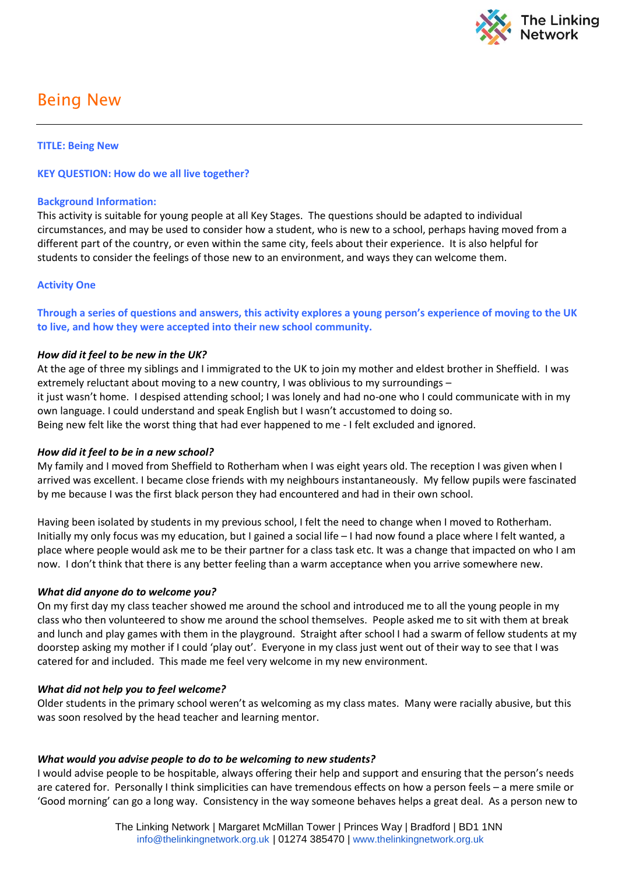

# Being New

# **TITLE: Being New**

# **KEY QUESTION: How do we all live together?**

### **Background Information:**

This activity is suitable for young people at all Key Stages. The questions should be adapted to individual circumstances, and may be used to consider how a student, who is new to a school, perhaps having moved from a different part of the country, or even within the same city, feels about their experience. It is also helpful for students to consider the feelings of those new to an environment, and ways they can welcome them.

## **Activity One**

**Through a series of questions and answers, this activity explores a young person's experience of moving to the UK to live, and how they were accepted into their new school community.**

#### *How did it feel to be new in the UK?*

At the age of three my siblings and I immigrated to the UK to join my mother and eldest brother in Sheffield. I was extremely reluctant about moving to a new country, I was oblivious to my surroundings – it just wasn't home. I despised attending school; I was lonely and had no-one who I could communicate with in my own language. I could understand and speak English but I wasn't accustomed to doing so. Being new felt like the worst thing that had ever happened to me - I felt excluded and ignored.

# *How did it feel to be in a new school?*

My family and I moved from Sheffield to Rotherham when I was eight years old. The reception I was given when I arrived was excellent. I became close friends with my neighbours instantaneously. My fellow pupils were fascinated by me because I was the first black person they had encountered and had in their own school.

Having been isolated by students in my previous school, I felt the need to change when I moved to Rotherham. Initially my only focus was my education, but I gained a social life – I had now found a place where I felt wanted, a place where people would ask me to be their partner for a class task etc. It was a change that impacted on who I am now. I don't think that there is any better feeling than a warm acceptance when you arrive somewhere new.

#### *What did anyone do to welcome you?*

On my first day my class teacher showed me around the school and introduced me to all the young people in my class who then volunteered to show me around the school themselves. People asked me to sit with them at break and lunch and play games with them in the playground. Straight after school I had a swarm of fellow students at my doorstep asking my mother if I could 'play out'. Everyone in my class just went out of their way to see that I was catered for and included. This made me feel very welcome in my new environment.

#### *What did not help you to feel welcome?*

Older students in the primary school weren't as welcoming as my class mates. Many were racially abusive, but this was soon resolved by the head teacher and learning mentor.

#### *What would you advise people to do to be welcoming to new students?*

I would advise people to be hospitable, always offering their help and support and ensuring that the person's needs are catered for. Personally I think simplicities can have tremendous effects on how a person feels – a mere smile or 'Good morning' can go a long way. Consistency in the way someone behaves helps a great deal. As a person new to